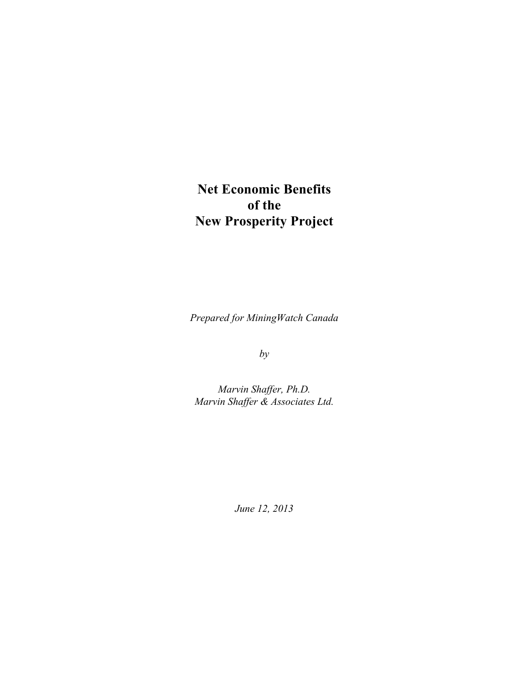# **Net Economic Benefits of the New Prosperity Project**

*Prepared for MiningWatch Canada*

*by*

*Marvin Shaffer, Ph.D. Marvin Shaffer & Associates Ltd.*

*June 12, 2013*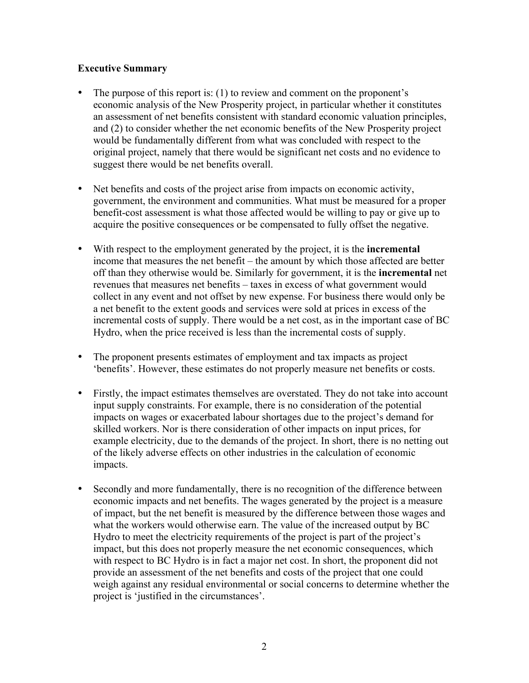### **Executive Summary**

- The purpose of this report is: (1) to review and comment on the proponent's economic analysis of the New Prosperity project, in particular whether it constitutes an assessment of net benefits consistent with standard economic valuation principles, and (2) to consider whether the net economic benefits of the New Prosperity project would be fundamentally different from what was concluded with respect to the original project, namely that there would be significant net costs and no evidence to suggest there would be net benefits overall.
- Net benefits and costs of the project arise from impacts on economic activity, government, the environment and communities. What must be measured for a proper benefit-cost assessment is what those affected would be willing to pay or give up to acquire the positive consequences or be compensated to fully offset the negative.
- With respect to the employment generated by the project, it is the **incremental**  income that measures the net benefit – the amount by which those affected are better off than they otherwise would be. Similarly for government, it is the **incremental** net revenues that measures net benefits – taxes in excess of what government would collect in any event and not offset by new expense. For business there would only be a net benefit to the extent goods and services were sold at prices in excess of the incremental costs of supply. There would be a net cost, as in the important case of BC Hydro, when the price received is less than the incremental costs of supply.
- The proponent presents estimates of employment and tax impacts as project 'benefits'. However, these estimates do not properly measure net benefits or costs.
- Firstly, the impact estimates themselves are overstated. They do not take into account input supply constraints. For example, there is no consideration of the potential impacts on wages or exacerbated labour shortages due to the project's demand for skilled workers. Nor is there consideration of other impacts on input prices, for example electricity, due to the demands of the project. In short, there is no netting out of the likely adverse effects on other industries in the calculation of economic impacts.
- Secondly and more fundamentally, there is no recognition of the difference between economic impacts and net benefits. The wages generated by the project is a measure of impact, but the net benefit is measured by the difference between those wages and what the workers would otherwise earn. The value of the increased output by BC Hydro to meet the electricity requirements of the project is part of the project's impact, but this does not properly measure the net economic consequences, which with respect to BC Hydro is in fact a major net cost. In short, the proponent did not provide an assessment of the net benefits and costs of the project that one could weigh against any residual environmental or social concerns to determine whether the project is 'justified in the circumstances'.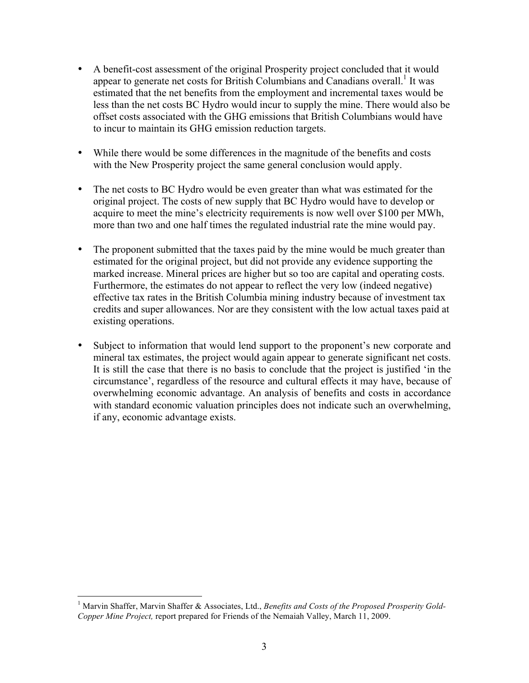- A benefit-cost assessment of the original Prosperity project concluded that it would appear to generate net costs for British Columbians and Canadians overall.<sup>1</sup> It was estimated that the net benefits from the employment and incremental taxes would be less than the net costs BC Hydro would incur to supply the mine. There would also be offset costs associated with the GHG emissions that British Columbians would have to incur to maintain its GHG emission reduction targets.
- While there would be some differences in the magnitude of the benefits and costs with the New Prosperity project the same general conclusion would apply.
- The net costs to BC Hydro would be even greater than what was estimated for the original project. The costs of new supply that BC Hydro would have to develop or acquire to meet the mine's electricity requirements is now well over \$100 per MWh, more than two and one half times the regulated industrial rate the mine would pay.
- The proponent submitted that the taxes paid by the mine would be much greater than estimated for the original project, but did not provide any evidence supporting the marked increase. Mineral prices are higher but so too are capital and operating costs. Furthermore, the estimates do not appear to reflect the very low (indeed negative) effective tax rates in the British Columbia mining industry because of investment tax credits and super allowances. Nor are they consistent with the low actual taxes paid at existing operations.
- Subject to information that would lend support to the proponent's new corporate and mineral tax estimates, the project would again appear to generate significant net costs. It is still the case that there is no basis to conclude that the project is justified 'in the circumstance', regardless of the resource and cultural effects it may have, because of overwhelming economic advantage. An analysis of benefits and costs in accordance with standard economic valuation principles does not indicate such an overwhelming, if any, economic advantage exists.

<sup>&</sup>lt;sup>1</sup> Marvin Shaffer, Marvin Shaffer & Associates, Ltd., *Benefits and Costs of the Proposed Prosperity Gold-Copper Mine Project,* report prepared for Friends of the Nemaiah Valley, March 11, 2009.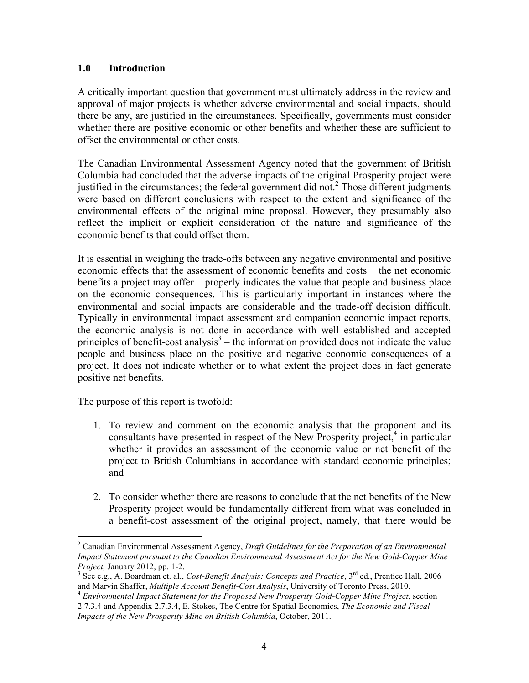### **1.0 Introduction**

A critically important question that government must ultimately address in the review and approval of major projects is whether adverse environmental and social impacts, should there be any, are justified in the circumstances. Specifically, governments must consider whether there are positive economic or other benefits and whether these are sufficient to offset the environmental or other costs.

The Canadian Environmental Assessment Agency noted that the government of British Columbia had concluded that the adverse impacts of the original Prosperity project were justified in the circumstances; the federal government did not.<sup>2</sup> Those different judgments were based on different conclusions with respect to the extent and significance of the environmental effects of the original mine proposal. However, they presumably also reflect the implicit or explicit consideration of the nature and significance of the economic benefits that could offset them.

It is essential in weighing the trade-offs between any negative environmental and positive economic effects that the assessment of economic benefits and costs – the net economic benefits a project may offer – properly indicates the value that people and business place on the economic consequences. This is particularly important in instances where the environmental and social impacts are considerable and the trade-off decision difficult. Typically in environmental impact assessment and companion economic impact reports, the economic analysis is not done in accordance with well established and accepted principles of benefit-cost analysis<sup>3</sup> – the information provided does not indicate the value people and business place on the positive and negative economic consequences of a project. It does not indicate whether or to what extent the project does in fact generate positive net benefits.

The purpose of this report is twofold:

- 1. To review and comment on the economic analysis that the proponent and its consultants have presented in respect of the New Prosperity project, $4$  in particular whether it provides an assessment of the economic value or net benefit of the project to British Columbians in accordance with standard economic principles; and
- 2. To consider whether there are reasons to conclude that the net benefits of the New Prosperity project would be fundamentally different from what was concluded in a benefit-cost assessment of the original project, namely, that there would be

 <sup>2</sup> Canadian Environmental Assessment Agency, *Draft Guidelines for the Preparation of an Environmental Impact Statement pursuant to the Canadian Environmental Assessment Act for the New Gold-Copper Mine Project, January 2012, pp. 1-2.* 

<sup>&</sup>lt;sup>3</sup> See e.g., A. Boardman et. al., *Cost-Benefit Analysis: Concepts and Practice*,  $3^{\text{rd}}$  ed., Prentice Hall, 2006

and Marvin Shaffer, *Multiple Account Benefit-Cost Analysis*, University of Toronto Press, 2010. <sup>4</sup> *Environmental Impact Statement for the Proposed New Prosperity Gold-Copper Mine Project*, section 2.7.3.4 and Appendix 2.7.3.4, E. Stokes, The Centre for Spatial Economics, *The Economic and Fiscal Impacts of the New Prosperity Mine on British Columbia*, October, 2011.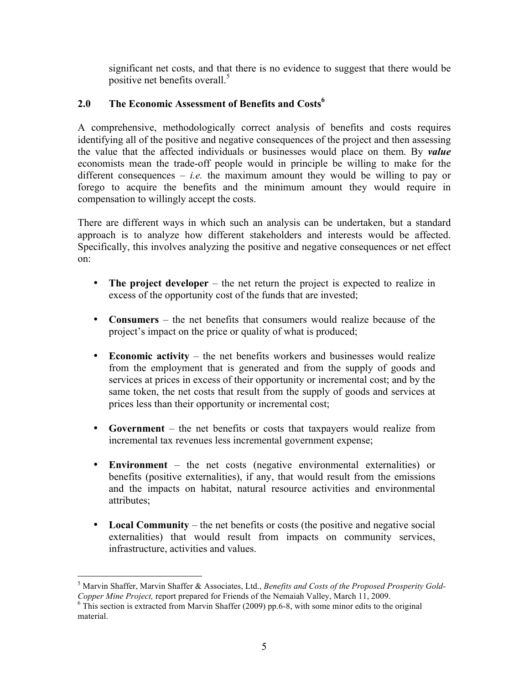significant net costs, and that there is no evidence to suggest that there would be positive net benefits overall.<sup>5</sup>

## 2.0 The Economic Assessment of Benefits and Costs<sup>6</sup>

A comprehensive, methodologically correct analysis of benefits and costs requires identifying all of the positive and negative consequences of the project and then assessing the value that the affected individuals or businesses would place on them. By *value* economists mean the trade-off people would in principle be willing to make for the different consequences  $-$  *i.e.* the maximum amount they would be willing to pay or forego to acquire the benefits and the minimum amount they would require in compensation to willingly accept the costs.

There are different ways in which such an analysis can be undertaken, but a standard approach is to analyze how different stakeholders and interests would be affected. Specifically, this involves analyzing the positive and negative consequences or net effect on:

- **The project developer** the net return the project is expected to realize in excess of the opportunity cost of the funds that are invested;
- **Consumers** the net benefits that consumers would realize because of the project's impact on the price or quality of what is produced;
- **Economic activity** the net benefits workers and businesses would realize from the employment that is generated and from the supply of goods and services at prices in excess of their opportunity or incremental cost; and by the same token, the net costs that result from the supply of goods and services at prices less than their opportunity or incremental cost;
- **Government** the net benefits or costs that taxpayers would realize from incremental tax revenues less incremental government expense;
- **Environment** the net costs (negative environmental externalities) or benefits (positive externalities), if any, that would result from the emissions and the impacts on habitat, natural resource activities and environmental attributes;
- **Local Community** the net benefits or costs (the positive and negative social externalities) that would result from impacts on community services, infrastructure, activities and values.

 <sup>5</sup> Marvin Shaffer, Marvin Shaffer & Associates, Ltd., *Benefits and Costs of the Proposed Prosperity Gold-Copper Mine Project, report prepared for Friends of the Nemaiah Valley, March 11, 2009.* <sup>6</sup> This section is extracted from Marvin Shaffer (2009) pp.6-8, with some minor edits to the original

material.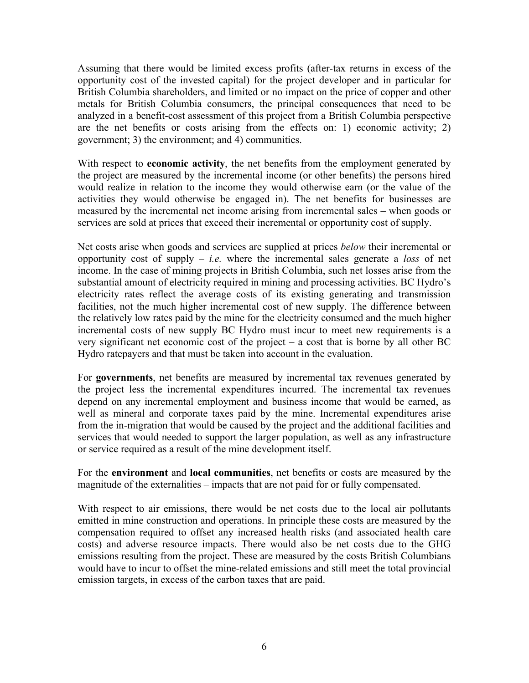Assuming that there would be limited excess profits (after-tax returns in excess of the opportunity cost of the invested capital) for the project developer and in particular for British Columbia shareholders, and limited or no impact on the price of copper and other metals for British Columbia consumers, the principal consequences that need to be analyzed in a benefit-cost assessment of this project from a British Columbia perspective are the net benefits or costs arising from the effects on: 1) economic activity; 2) government; 3) the environment; and 4) communities.

With respect to **economic activity**, the net benefits from the employment generated by the project are measured by the incremental income (or other benefits) the persons hired would realize in relation to the income they would otherwise earn (or the value of the activities they would otherwise be engaged in). The net benefits for businesses are measured by the incremental net income arising from incremental sales – when goods or services are sold at prices that exceed their incremental or opportunity cost of supply.

Net costs arise when goods and services are supplied at prices *below* their incremental or opportunity cost of supply – *i.e.* where the incremental sales generate a *loss* of net income. In the case of mining projects in British Columbia, such net losses arise from the substantial amount of electricity required in mining and processing activities. BC Hydro's electricity rates reflect the average costs of its existing generating and transmission facilities, not the much higher incremental cost of new supply. The difference between the relatively low rates paid by the mine for the electricity consumed and the much higher incremental costs of new supply BC Hydro must incur to meet new requirements is a very significant net economic cost of the project – a cost that is borne by all other BC Hydro ratepayers and that must be taken into account in the evaluation.

For **governments**, net benefits are measured by incremental tax revenues generated by the project less the incremental expenditures incurred. The incremental tax revenues depend on any incremental employment and business income that would be earned, as well as mineral and corporate taxes paid by the mine. Incremental expenditures arise from the in-migration that would be caused by the project and the additional facilities and services that would needed to support the larger population, as well as any infrastructure or service required as a result of the mine development itself.

For the **environment** and **local communities**, net benefits or costs are measured by the magnitude of the externalities – impacts that are not paid for or fully compensated.

With respect to air emissions, there would be net costs due to the local air pollutants emitted in mine construction and operations. In principle these costs are measured by the compensation required to offset any increased health risks (and associated health care costs) and adverse resource impacts. There would also be net costs due to the GHG emissions resulting from the project. These are measured by the costs British Columbians would have to incur to offset the mine-related emissions and still meet the total provincial emission targets, in excess of the carbon taxes that are paid.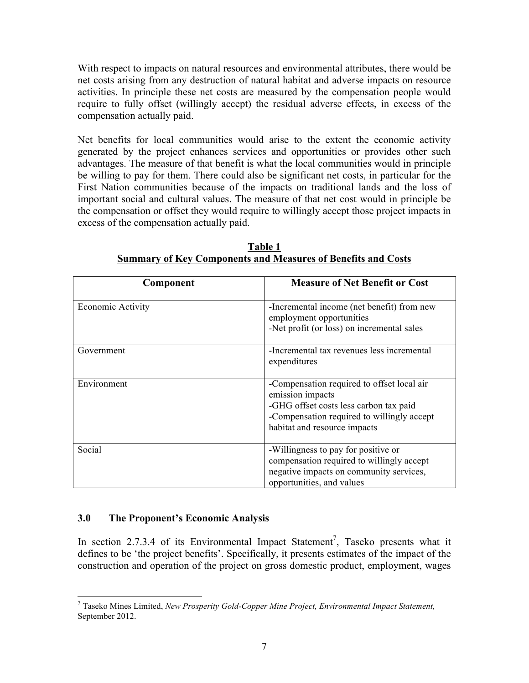With respect to impacts on natural resources and environmental attributes, there would be net costs arising from any destruction of natural habitat and adverse impacts on resource activities. In principle these net costs are measured by the compensation people would require to fully offset (willingly accept) the residual adverse effects, in excess of the compensation actually paid.

Net benefits for local communities would arise to the extent the economic activity generated by the project enhances services and opportunities or provides other such advantages. The measure of that benefit is what the local communities would in principle be willing to pay for them. There could also be significant net costs, in particular for the First Nation communities because of the impacts on traditional lands and the loss of important social and cultural values. The measure of that net cost would in principle be the compensation or offset they would require to willingly accept those project impacts in excess of the compensation actually paid.

| Component                | <b>Measure of Net Benefit or Cost</b>                                                                                                                                                  |
|--------------------------|----------------------------------------------------------------------------------------------------------------------------------------------------------------------------------------|
| <b>Economic Activity</b> | -Incremental income (net benefit) from new<br>employment opportunities<br>-Net profit (or loss) on incremental sales                                                                   |
| Government               | -Incremental tax revenues less incremental<br>expenditures                                                                                                                             |
| Environment              | -Compensation required to offset local air<br>emission impacts<br>-GHG offset costs less carbon tax paid<br>-Compensation required to willingly accept<br>habitat and resource impacts |
| Social                   | -Willingness to pay for positive or<br>compensation required to willingly accept<br>negative impacts on community services,<br>opportunities, and values                               |

**Table 1 Summary of Key Components and Measures of Benefits and Costs**

### **3.0 The Proponent's Economic Analysis**

In section 2.7.3.4 of its Environmental Impact Statement<sup>7</sup>, Taseko presents what it defines to be 'the project benefits'. Specifically, it presents estimates of the impact of the construction and operation of the project on gross domestic product, employment, wages

 <sup>7</sup> Taseko Mines Limited, *New Prosperity Gold-Copper Mine Project, Environmental Impact Statement,* September 2012.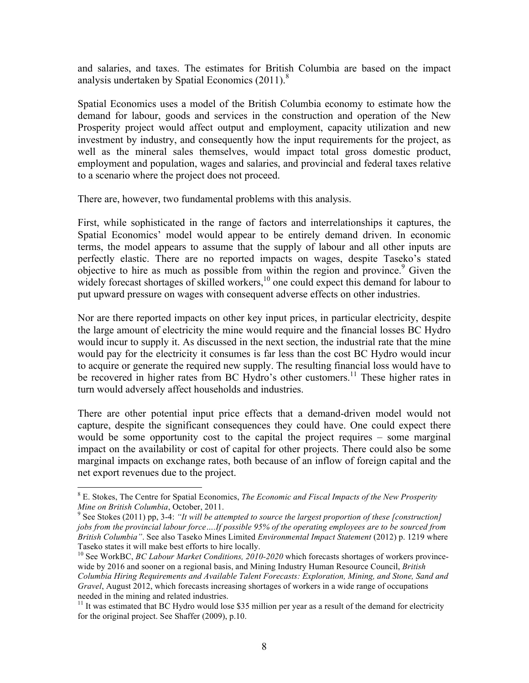and salaries, and taxes. The estimates for British Columbia are based on the impact analysis undertaken by Spatial Economics  $(2011)^8$ .

Spatial Economics uses a model of the British Columbia economy to estimate how the demand for labour, goods and services in the construction and operation of the New Prosperity project would affect output and employment, capacity utilization and new investment by industry, and consequently how the input requirements for the project, as well as the mineral sales themselves, would impact total gross domestic product, employment and population, wages and salaries, and provincial and federal taxes relative to a scenario where the project does not proceed.

There are, however, two fundamental problems with this analysis.

First, while sophisticated in the range of factors and interrelationships it captures, the Spatial Economics' model would appear to be entirely demand driven. In economic terms, the model appears to assume that the supply of labour and all other inputs are perfectly elastic. There are no reported impacts on wages, despite Taseko's stated objective to hire as much as possible from within the region and province.<sup>9</sup> Given the widely forecast shortages of skilled workers, $10$  one could expect this demand for labour to put upward pressure on wages with consequent adverse effects on other industries.

Nor are there reported impacts on other key input prices, in particular electricity, despite the large amount of electricity the mine would require and the financial losses BC Hydro would incur to supply it. As discussed in the next section, the industrial rate that the mine would pay for the electricity it consumes is far less than the cost BC Hydro would incur to acquire or generate the required new supply. The resulting financial loss would have to be recovered in higher rates from BC Hydro's other customers.<sup>11</sup> These higher rates in turn would adversely affect households and industries.

There are other potential input price effects that a demand-driven model would not capture, despite the significant consequences they could have. One could expect there would be some opportunity cost to the capital the project requires – some marginal impact on the availability or cost of capital for other projects. There could also be some marginal impacts on exchange rates, both because of an inflow of foreign capital and the net export revenues due to the project.

 <sup>8</sup> E. Stokes, The Centre for Spatial Economics, *The Economic and Fiscal Impacts of the New Prosperity Mine on British Columbia*, October, 2011.<br><sup>9</sup> See Stokes (2011) pp, 3-4: *"It will be attempted to source the largest proportion of these [construction]* 

*jobs from the provincial labour force….If possible 95% of the operating employees are to be sourced from British Columbia"*. See also Taseko Mines Limited *Environmental Impact Statement* (2012) p. 1219 where Taseko states it will make best efforts to hire locally.

<sup>&</sup>lt;sup>10</sup> See WorkBC, *BC Labour Market Conditions, 2010-2020* which forecasts shortages of workers provincewide by 2016 and sooner on a regional basis, and Mining Industry Human Resource Council, *British Columbia Hiring Requirements and Available Talent Forecasts: Exploration, Mining, and Stone, Sand and Gravel*, August 2012, which forecasts increasing shortages of workers in a wide range of occupations needed in the mining and related industries.

<sup>&</sup>lt;sup>11</sup> It was estimated that BC Hydro would lose \$35 million per year as a result of the demand for electricity for the original project. See Shaffer (2009), p.10.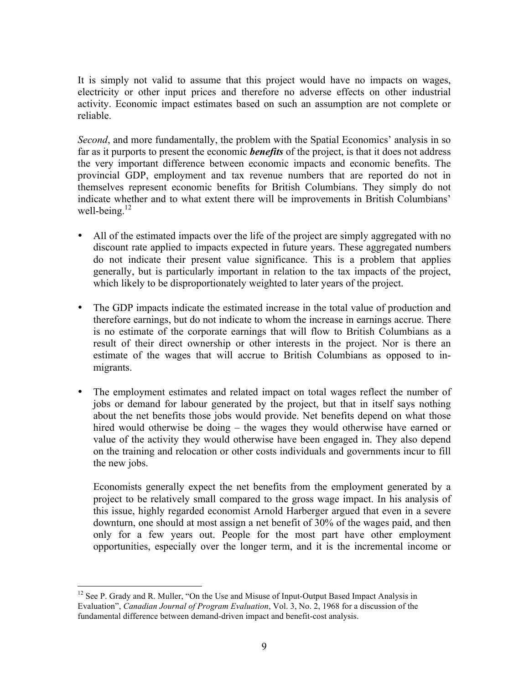It is simply not valid to assume that this project would have no impacts on wages, electricity or other input prices and therefore no adverse effects on other industrial activity. Economic impact estimates based on such an assumption are not complete or reliable.

*Second*, and more fundamentally, the problem with the Spatial Economics' analysis in so far as it purports to present the economic *benefits* of the project, is that it does not address the very important difference between economic impacts and economic benefits. The provincial GDP, employment and tax revenue numbers that are reported do not in themselves represent economic benefits for British Columbians. They simply do not indicate whether and to what extent there will be improvements in British Columbians' well-being. $12$ 

- All of the estimated impacts over the life of the project are simply aggregated with no discount rate applied to impacts expected in future years. These aggregated numbers do not indicate their present value significance. This is a problem that applies generally, but is particularly important in relation to the tax impacts of the project, which likely to be disproportionately weighted to later years of the project.
- The GDP impacts indicate the estimated increase in the total value of production and therefore earnings, but do not indicate to whom the increase in earnings accrue. There is no estimate of the corporate earnings that will flow to British Columbians as a result of their direct ownership or other interests in the project. Nor is there an estimate of the wages that will accrue to British Columbians as opposed to inmigrants.
- The employment estimates and related impact on total wages reflect the number of jobs or demand for labour generated by the project, but that in itself says nothing about the net benefits those jobs would provide. Net benefits depend on what those hired would otherwise be doing – the wages they would otherwise have earned or value of the activity they would otherwise have been engaged in. They also depend on the training and relocation or other costs individuals and governments incur to fill the new jobs.

Economists generally expect the net benefits from the employment generated by a project to be relatively small compared to the gross wage impact. In his analysis of this issue, highly regarded economist Arnold Harberger argued that even in a severe downturn, one should at most assign a net benefit of 30% of the wages paid, and then only for a few years out. People for the most part have other employment opportunities, especially over the longer term, and it is the incremental income or

<sup>&</sup>lt;sup>12</sup> See P. Grady and R. Muller, "On the Use and Misuse of Input-Output Based Impact Analysis in Evaluation", *Canadian Journal of Program Evaluation*, Vol. 3, No. 2, 1968 for a discussion of the fundamental difference between demand-driven impact and benefit-cost analysis.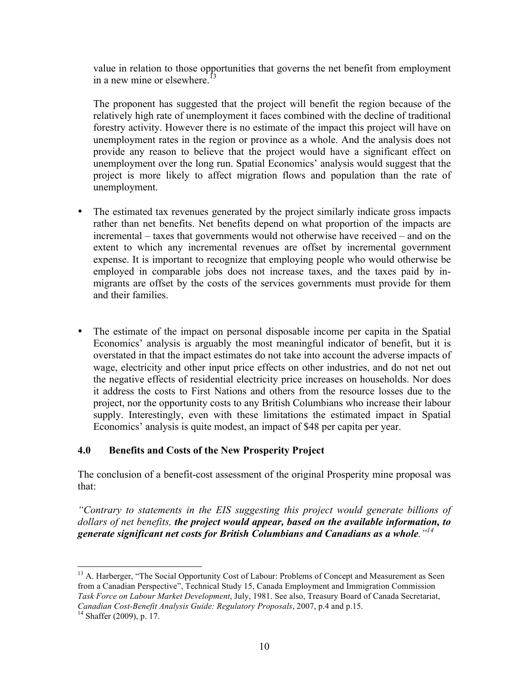value in relation to those opportunities that governs the net benefit from employment in a new mine or elsewhere.<sup>13</sup>

The proponent has suggested that the project will benefit the region because of the relatively high rate of unemployment it faces combined with the decline of traditional forestry activity. However there is no estimate of the impact this project will have on unemployment rates in the region or province as a whole. And the analysis does not provide any reason to believe that the project would have a significant effect on unemployment over the long run. Spatial Economics' analysis would suggest that the project is more likely to affect migration flows and population than the rate of unemployment.

- The estimated tax revenues generated by the project similarly indicate gross impacts rather than net benefits. Net benefits depend on what proportion of the impacts are incremental – taxes that governments would not otherwise have received – and on the extent to which any incremental revenues are offset by incremental government expense. It is important to recognize that employing people who would otherwise be employed in comparable jobs does not increase taxes, and the taxes paid by inmigrants are offset by the costs of the services governments must provide for them and their families.
- The estimate of the impact on personal disposable income per capita in the Spatial Economics' analysis is arguably the most meaningful indicator of benefit, but it is overstated in that the impact estimates do not take into account the adverse impacts of wage, electricity and other input price effects on other industries, and do not net out the negative effects of residential electricity price increases on households. Nor does it address the costs to First Nations and others from the resource losses due to the project, nor the opportunity costs to any British Columbians who increase their labour supply. Interestingly, even with these limitations the estimated impact in Spatial Economics' analysis is quite modest, an impact of \$48 per capita per year.

### **4.0 Benefits and Costs of the New Prosperity Project**

The conclusion of a benefit-cost assessment of the original Prosperity mine proposal was that:

*"Contrary to statements in the EIS suggesting this project would generate billions of dollars of net benefits, the project would appear, based on the available information, to generate significant net costs for British Columbians and Canadians as a whole."<sup>14</sup>*

<sup>&</sup>lt;sup>13</sup> A. Harberger, "The Social Opportunity Cost of Labour: Problems of Concept and Measurement as Seen from a Canadian Perspective", Technical Study 15, Canada Employment and Immigration Commission *Task Force on Labour Market Development*, July, 1981. See also, Treasury Board of Canada Secretariat, *Canadian Cost-Benefit Analysis Guide: Regulatory Proposals*, 2007, p.4 and p.15. <sup>14</sup> Shaffer (2009), p. 17.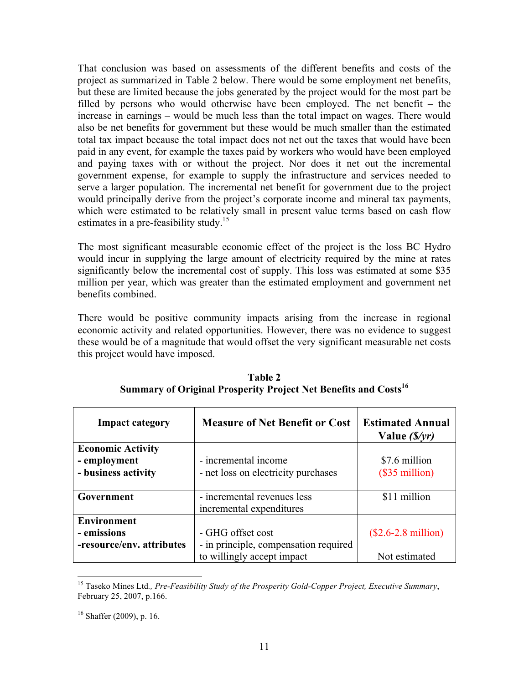That conclusion was based on assessments of the different benefits and costs of the project as summarized in Table 2 below. There would be some employment net benefits, but these are limited because the jobs generated by the project would for the most part be filled by persons who would otherwise have been employed. The net benefit – the increase in earnings – would be much less than the total impact on wages. There would also be net benefits for government but these would be much smaller than the estimated total tax impact because the total impact does not net out the taxes that would have been paid in any event, for example the taxes paid by workers who would have been employed and paying taxes with or without the project. Nor does it net out the incremental government expense, for example to supply the infrastructure and services needed to serve a larger population. The incremental net benefit for government due to the project would principally derive from the project's corporate income and mineral tax payments, which were estimated to be relatively small in present value terms based on cash flow estimates in a pre-feasibility study.<sup>15</sup>

The most significant measurable economic effect of the project is the loss BC Hydro would incur in supplying the large amount of electricity required by the mine at rates significantly below the incremental cost of supply. This loss was estimated at some \$35 million per year, which was greater than the estimated employment and government net benefits combined.

There would be positive community impacts arising from the increase in regional economic activity and related opportunities. However, there was no evidence to suggest these would be of a magnitude that would offset the very significant measurable net costs this project would have imposed.

| <b>Impact category</b>                                          | <b>Measure of Net Benefit or Cost</b>                                                    | <b>Estimated Annual</b><br>Value $(S/yr)$     |
|-----------------------------------------------------------------|------------------------------------------------------------------------------------------|-----------------------------------------------|
| <b>Economic Activity</b><br>- employment<br>- business activity | - incremental income<br>- net loss on electricity purchases                              | \$7.6 million<br>$($35$ million)              |
| Government                                                      | - incremental revenues less<br>incremental expenditures                                  | \$11 million                                  |
| <b>Environment</b><br>- emissions<br>-resource/env. attributes  | - GHG offset cost<br>- in principle, compensation required<br>to willingly accept impact | $($2.6-2.8 \text{ million})$<br>Not estimated |

**Table 2 Summary of Original Prosperity Project Net Benefits and Costs**<sup>16</sup>

 <sup>15</sup> Taseko Mines Ltd*., Pre-Feasibility Study of the Prosperity Gold-Copper Project, Executive Summary*, February 25, 2007, p.166.

 $16$  Shaffer (2009), p. 16.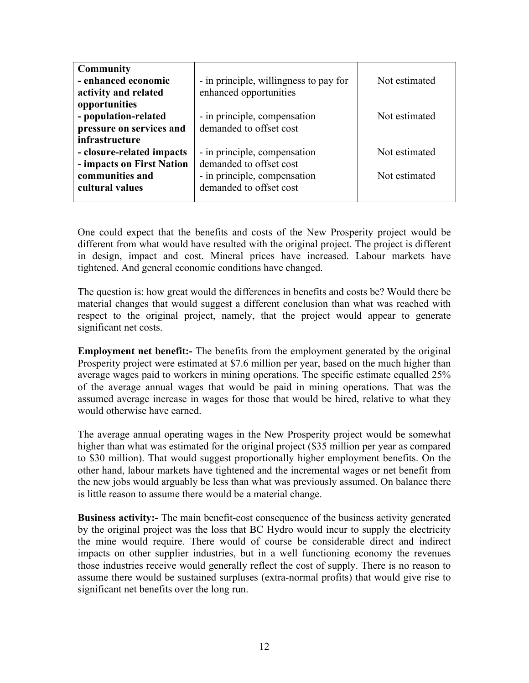| <b>Community</b>          |                                        |               |
|---------------------------|----------------------------------------|---------------|
| - enhanced economic       | - in principle, willingness to pay for | Not estimated |
| activity and related      | enhanced opportunities                 |               |
| opportunities             |                                        |               |
| - population-related      | - in principle, compensation           | Not estimated |
| pressure on services and  | demanded to offset cost                |               |
| infrastructure            |                                        |               |
| - closure-related impacts | - in principle, compensation           | Not estimated |
| - impacts on First Nation | demanded to offset cost                |               |
| communities and           | - in principle, compensation           | Not estimated |
| cultural values           | demanded to offset cost                |               |
|                           |                                        |               |

One could expect that the benefits and costs of the New Prosperity project would be different from what would have resulted with the original project. The project is different in design, impact and cost. Mineral prices have increased. Labour markets have tightened. And general economic conditions have changed.

The question is: how great would the differences in benefits and costs be? Would there be material changes that would suggest a different conclusion than what was reached with respect to the original project, namely, that the project would appear to generate significant net costs.

**Employment net benefit:** The benefits from the employment generated by the original Prosperity project were estimated at \$7.6 million per year, based on the much higher than average wages paid to workers in mining operations. The specific estimate equalled 25% of the average annual wages that would be paid in mining operations. That was the assumed average increase in wages for those that would be hired, relative to what they would otherwise have earned.

The average annual operating wages in the New Prosperity project would be somewhat higher than what was estimated for the original project (\$35 million per year as compared to \$30 million). That would suggest proportionally higher employment benefits. On the other hand, labour markets have tightened and the incremental wages or net benefit from the new jobs would arguably be less than what was previously assumed. On balance there is little reason to assume there would be a material change.

**Business activity:-** The main benefit-cost consequence of the business activity generated by the original project was the loss that BC Hydro would incur to supply the electricity the mine would require. There would of course be considerable direct and indirect impacts on other supplier industries, but in a well functioning economy the revenues those industries receive would generally reflect the cost of supply. There is no reason to assume there would be sustained surpluses (extra-normal profits) that would give rise to significant net benefits over the long run.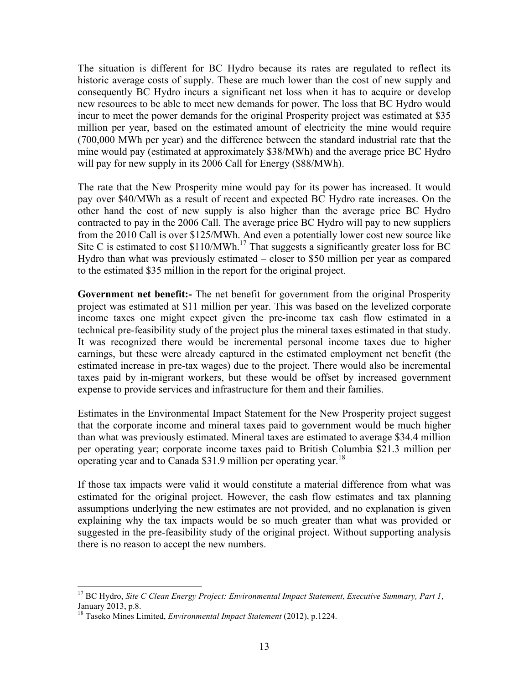The situation is different for BC Hydro because its rates are regulated to reflect its historic average costs of supply. These are much lower than the cost of new supply and consequently BC Hydro incurs a significant net loss when it has to acquire or develop new resources to be able to meet new demands for power. The loss that BC Hydro would incur to meet the power demands for the original Prosperity project was estimated at \$35 million per year, based on the estimated amount of electricity the mine would require (700,000 MWh per year) and the difference between the standard industrial rate that the mine would pay (estimated at approximately \$38/MWh) and the average price BC Hydro will pay for new supply in its 2006 Call for Energy (\$88/MWh).

The rate that the New Prosperity mine would pay for its power has increased. It would pay over \$40/MWh as a result of recent and expected BC Hydro rate increases. On the other hand the cost of new supply is also higher than the average price BC Hydro contracted to pay in the 2006 Call. The average price BC Hydro will pay to new suppliers from the 2010 Call is over \$125/MWh. And even a potentially lower cost new source like Site C is estimated to cost  $$110/MWh.<sup>17</sup>$  That suggests a significantly greater loss for BC Hydro than what was previously estimated – closer to \$50 million per year as compared to the estimated \$35 million in the report for the original project.

**Government net benefit:-** The net benefit for government from the original Prosperity project was estimated at \$11 million per year. This was based on the levelized corporate income taxes one might expect given the pre-income tax cash flow estimated in a technical pre-feasibility study of the project plus the mineral taxes estimated in that study. It was recognized there would be incremental personal income taxes due to higher earnings, but these were already captured in the estimated employment net benefit (the estimated increase in pre-tax wages) due to the project. There would also be incremental taxes paid by in-migrant workers, but these would be offset by increased government expense to provide services and infrastructure for them and their families.

Estimates in the Environmental Impact Statement for the New Prosperity project suggest that the corporate income and mineral taxes paid to government would be much higher than what was previously estimated. Mineral taxes are estimated to average \$34.4 million per operating year; corporate income taxes paid to British Columbia \$21.3 million per operating year and to Canada  $$31.9$  million per operating year.<sup>18</sup>

If those tax impacts were valid it would constitute a material difference from what was estimated for the original project. However, the cash flow estimates and tax planning assumptions underlying the new estimates are not provided, and no explanation is given explaining why the tax impacts would be so much greater than what was provided or suggested in the pre-feasibility study of the original project. Without supporting analysis there is no reason to accept the new numbers.

<sup>&</sup>lt;sup>17</sup> BC Hydro, *Site C Clean Energy Project: Environmental Impact Statement, Executive Summary, Part 1,* January 2013, p.8.

<sup>18</sup> Taseko Mines Limited, *Environmental Impact Statement* (2012), p.1224.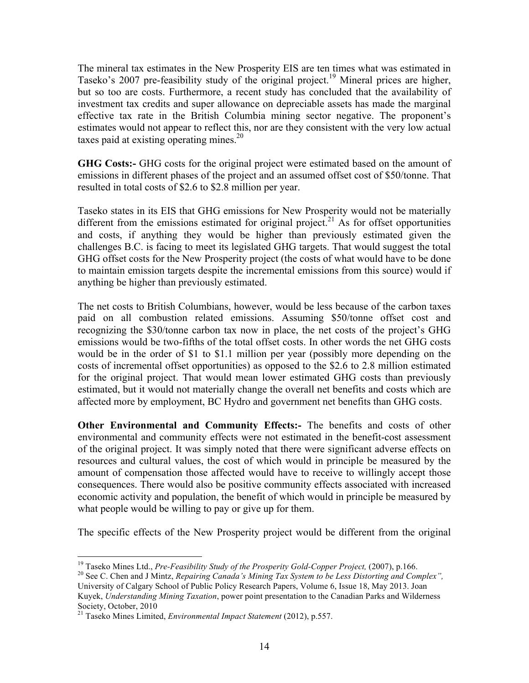The mineral tax estimates in the New Prosperity EIS are ten times what was estimated in Taseko's 2007 pre-feasibility study of the original project.<sup>19</sup> Mineral prices are higher, but so too are costs. Furthermore, a recent study has concluded that the availability of investment tax credits and super allowance on depreciable assets has made the marginal effective tax rate in the British Columbia mining sector negative. The proponent's estimates would not appear to reflect this, nor are they consistent with the very low actual taxes paid at existing operating mines.<sup>20</sup>

**GHG Costs:-** GHG costs for the original project were estimated based on the amount of emissions in different phases of the project and an assumed offset cost of \$50/tonne. That resulted in total costs of \$2.6 to \$2.8 million per year.

Taseko states in its EIS that GHG emissions for New Prosperity would not be materially different from the emissions estimated for original project.<sup>21</sup> As for offset opportunities and costs, if anything they would be higher than previously estimated given the challenges B.C. is facing to meet its legislated GHG targets. That would suggest the total GHG offset costs for the New Prosperity project (the costs of what would have to be done to maintain emission targets despite the incremental emissions from this source) would if anything be higher than previously estimated.

The net costs to British Columbians, however, would be less because of the carbon taxes paid on all combustion related emissions. Assuming \$50/tonne offset cost and recognizing the \$30/tonne carbon tax now in place, the net costs of the project's GHG emissions would be two-fifths of the total offset costs. In other words the net GHG costs would be in the order of \$1 to \$1.1 million per year (possibly more depending on the costs of incremental offset opportunities) as opposed to the \$2.6 to 2.8 million estimated for the original project. That would mean lower estimated GHG costs than previously estimated, but it would not materially change the overall net benefits and costs which are affected more by employment, BC Hydro and government net benefits than GHG costs.

**Other Environmental and Community Effects:-** The benefits and costs of other environmental and community effects were not estimated in the benefit-cost assessment of the original project. It was simply noted that there were significant adverse effects on resources and cultural values, the cost of which would in principle be measured by the amount of compensation those affected would have to receive to willingly accept those consequences. There would also be positive community effects associated with increased economic activity and population, the benefit of which would in principle be measured by what people would be willing to pay or give up for them.

The specific effects of the New Prosperity project would be different from the original

<sup>&</sup>lt;sup>19</sup> Taseko Mines Ltd., *Pre-Feasibility Study of the Prosperity Gold-Copper Project*, (2007), p.166.<br><sup>20</sup> See C. Chen and J Mintz, *Repairing Canada's Mining Tax System to be Less Distorting and Complex"*, University of Calgary School of Public Policy Research Papers, Volume 6, Issue 18, May 2013. Joan Kuyek, *Understanding Mining Taxation*, power point presentation to the Canadian Parks and Wilderness Society, October, 2010

<sup>21</sup> Taseko Mines Limited, *Environmental Impact Statement* (2012), p.557.